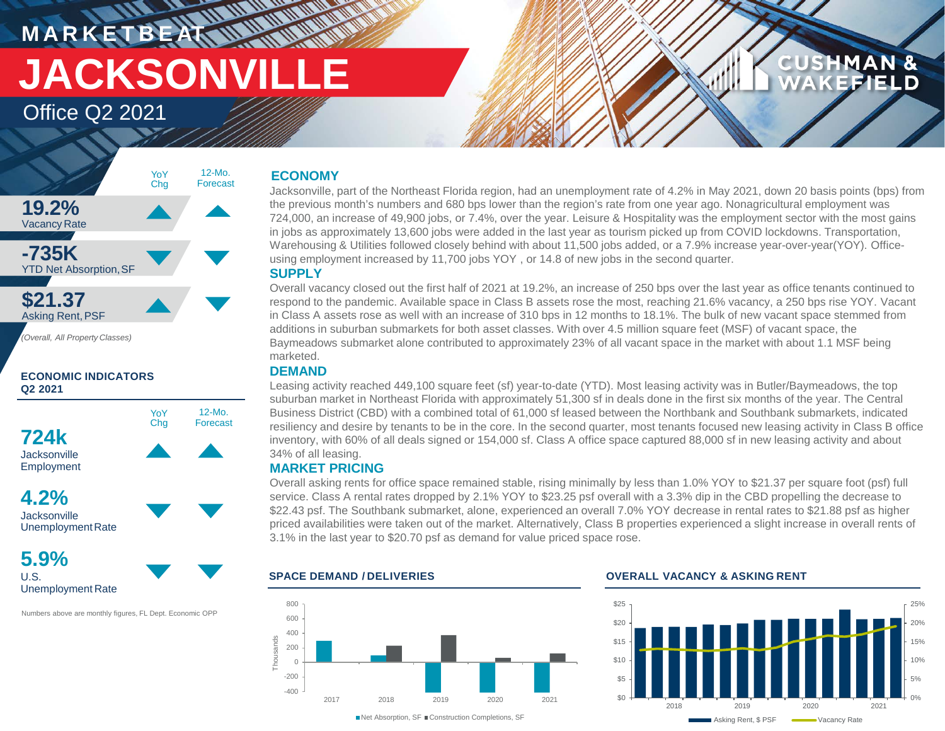# **M A R K E T B E AT JACKSONVILLE**

## Office Q2 2021



## **ECONOMIC INDICATORS Q2 2021**



**4.2% Jacksonville** UnemploymentRate

**5.9%** U.S. Unemployment Rate

Numbers above are monthly figures, FL Dept. Economic OPP

## **ECONOMY**

**MATTER** 

Jacksonville, part of the Northeast Florida region, had an unemployment rate of 4.2% in May 2021, down 20 basis points (bps) from the previous month's numbers and 680 bps lower than the region's rate from one year ago. Nonagricultural employment was 724,000, an increase of 49,900 jobs, or 7.4%, over the year. Leisure & Hospitality was the employment sector with the most gains in jobs as approximately 13,600 jobs were added in the last year as tourism picked up from COVID lockdowns. Transportation, Warehousing & Utilities followed closely behind with about 11,500 jobs added, or a 7.9% increase year-over-year(YOY). Officeusing employment increased by 11,700 jobs YOY , or 14.8 of new jobs in the second quarter.

## **SUPPLY**

Overall vacancy closed out the first half of 2021 at 19.2%, an increase of 250 bps over the last year as office tenants continued to respond to the pandemic. Available space in Class B assets rose the most, reaching 21.6% vacancy, a 250 bps rise YOY. Vacant in Class A assets rose as well with an increase of 310 bps in 12 months to 18.1%. The bulk of new vacant space stemmed from additions in suburban submarkets for both asset classes. With over 4.5 million square feet (MSF) of vacant space, the Baymeadows submarket alone contributed to approximately 23% of all vacant space in the market with about 1.1 MSF being marketed.

## **DEMAND**

Leasing activity reached 449,100 square feet (sf) year-to-date (YTD). Most leasing activity was in Butler/Baymeadows, the top suburban market in Northeast Florida with approximately 51,300 sf in deals done in the first six months of the year. The Central Business District (CBD) with a combined total of 61,000 sf leased between the Northbank and Southbank submarkets, indicated resiliency and desire by tenants to be in the core. In the second quarter, most tenants focused new leasing activity in Class B office inventory, with 60% of all deals signed or 154,000 sf. Class A office space captured 88,000 sf in new leasing activity and about 34% of all leasing.

## **MARKET PRICING**

Overall asking rents for office space remained stable, rising minimally by less than 1.0% YOY to \$21.37 per square foot (psf) full service. Class A rental rates dropped by 2.1% YOY to \$23.25 psf overall with a 3.3% dip in the CBD propelling the decrease to \$22.43 psf. The Southbank submarket, alone, experienced an overall 7.0% YOY decrease in rental rates to \$21.88 psf as higher priced availabilities were taken out of the market. Alternatively, Class B properties experienced a slight increase in overall rents of 3.1% in the last year to \$20.70 psf as demand for value priced space rose.



### **SPACE DEMAND / DELIVERIES OVERALL VACANCY & ASKING RENT**



**CUSHMAN &** WAKEFIELD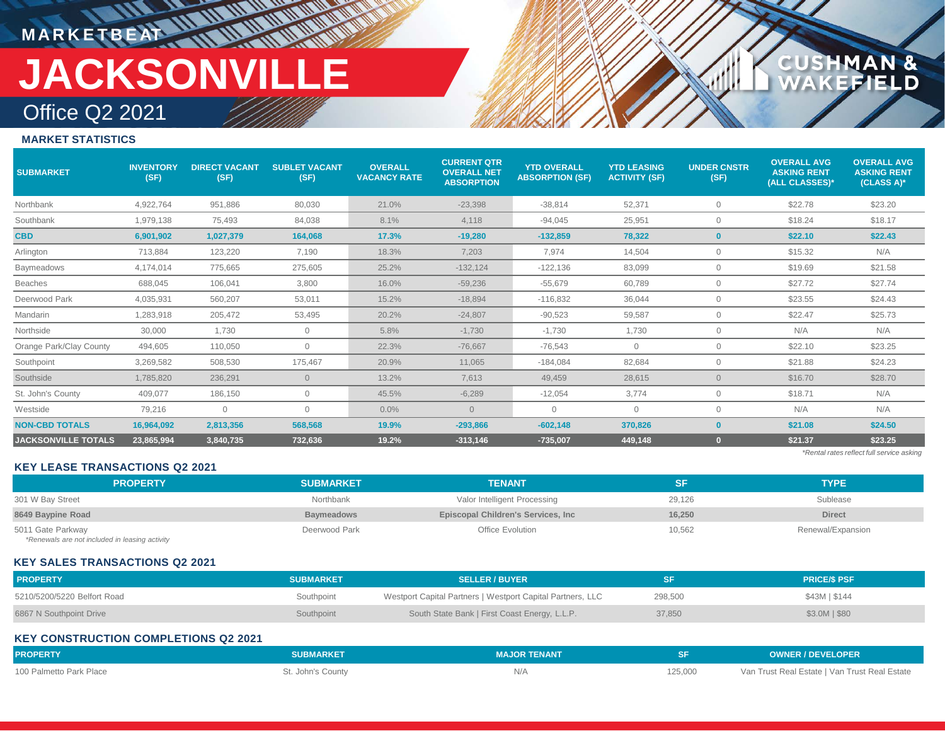## **M A R K E T B E AT**

## Office Q2 2021 **JACKSONVILLE**

**THE HEAD AND AND** 

## **CUSHMAN &<br>WAKEFIELD**

## **MARKET STATISTICS**

| <b>SUBMARKET</b>           | <b>INVENTORY</b><br>(SF) | <b>DIRECT VACANT</b><br>(SF) | <b>SUBLET VACANT</b><br>(SF) | <b>OVERALL</b><br><b>VACANCY RATE</b> | <b>CURRENT QTR</b><br><b>OVERALL NET</b><br><b>ABSORPTION</b> | <b>YTD OVERALL</b><br><b>ABSORPTION (SF)</b> | <b>YTD LEASING</b><br><b>ACTIVITY (SF)</b> | <b>UNDER CNSTR</b><br>(SF) | <b>OVERALL AVG</b><br><b>ASKING RENT</b><br>(ALL CLASSES)* | <b>OVERALL AVG</b><br><b>ASKING RENT</b><br>(CLASS A)* |
|----------------------------|--------------------------|------------------------------|------------------------------|---------------------------------------|---------------------------------------------------------------|----------------------------------------------|--------------------------------------------|----------------------------|------------------------------------------------------------|--------------------------------------------------------|
| Northbank                  | 4,922,764                | 951,886                      | 80,030                       | 21.0%                                 | $-23,398$                                                     | $-38,814$                                    | 52,371                                     | $\circ$                    | \$22.78                                                    | \$23.20                                                |
| Southbank                  | 1,979,138                | 75,493                       | 84,038                       | 8.1%                                  | 4,118                                                         | $-94,045$                                    | 25,951                                     | $\overline{0}$             | \$18.24                                                    | \$18.17                                                |
| <b>CBD</b>                 | 6,901,902                | 1,027,379                    | 164,068                      | 17.3%                                 | $-19,280$                                                     | $-132,859$                                   | 78,322                                     | $\mathbf{0}$               | \$22.10                                                    | \$22.43                                                |
| Arlington                  | 713,884                  | 123,220                      | 7,190                        | 18.3%                                 | 7,203                                                         | 7,974                                        | 14,504                                     | $\mathbf{0}$               | \$15.32                                                    | N/A                                                    |
| Baymeadows                 | 4,174,014                | 775,665                      | 275,605                      | 25.2%                                 | $-132, 124$                                                   | $-122,136$                                   | 83,099                                     | $\mathbf{0}$               | \$19.69                                                    | \$21.58                                                |
| <b>Beaches</b>             | 688.045                  | 106,041                      | 3,800                        | 16.0%                                 | $-59.236$                                                     | $-55,679$                                    | 60,789                                     | $\mathbf{0}$               | \$27.72                                                    | \$27.74                                                |
| Deerwood Park              | 4,035,931                | 560,207                      | 53,011                       | 15.2%                                 | $-18,894$                                                     | $-116,832$                                   | 36,044                                     | $\mathbf{0}$               | \$23.55                                                    | \$24.43                                                |
| Mandarin                   | 1,283,918                | 205,472                      | 53,495                       | 20.2%                                 | $-24,807$                                                     | $-90,523$                                    | 59,587                                     | $\overline{0}$             | \$22.47                                                    | \$25.73                                                |
| Northside                  | 30,000                   | 1,730                        | $\mathbf{0}$                 | 5.8%                                  | $-1,730$                                                      | $-1,730$                                     | 1,730                                      | $\overline{0}$             | N/A                                                        | N/A                                                    |
| Orange Park/Clay County    | 494,605                  | 110,050                      | $\circ$                      | 22.3%                                 | $-76,667$                                                     | $-76,543$                                    | $\mathbf{0}$                               | $\mathbf{0}$               | \$22.10                                                    | \$23.25                                                |
| Southpoint                 | 3,269,582                | 508,530                      | 175,467                      | 20.9%                                 | 11,065                                                        | $-184,084$                                   | 82,684                                     | $\mathbf{0}$               | \$21.88                                                    | \$24.23                                                |
| Southside                  | 1,785,820                | 236,291                      | $\overline{0}$               | 13.2%                                 | 7,613                                                         | 49,459                                       | 28,615                                     | $\overline{0}$             | \$16.70                                                    | \$28.70                                                |
| St. John's County          | 409,077                  | 186,150                      | $\mathbf 0$                  | 45.5%                                 | $-6,289$                                                      | $-12,054$                                    | 3.774                                      | $\mathbf{0}$               | \$18.71                                                    | N/A                                                    |
| Westside                   | 79,216                   | $\mathbf{0}$                 | $\Omega$                     | 0.0%                                  | $\Omega$                                                      | $\mathbf{0}$                                 | $\Omega$                                   | $\Omega$                   | N/A                                                        | N/A                                                    |
| <b>NON-CBD TOTALS</b>      | 16,964,092               | 2,813,356                    | 568,568                      | 19.9%                                 | $-293,866$                                                    | $-602,148$                                   | 370,826                                    | $\bf{0}$                   | \$21.08                                                    | \$24.50                                                |
| <b>JACKSONVILLE TOTALS</b> | 23,865,994               | 3,840,735                    | 732,636                      | 19.2%                                 | $-313,146$                                                    | $-735,007$                                   | 449,148                                    |                            | \$21.37                                                    | \$23.25                                                |
|                            |                          |                              |                              |                                       |                                                               |                                              |                                            |                            |                                                            | *Rental rates reflect full service asking              |

#### **KEY LEASE TRANSACTIONS Q2 2021**

| <b>PROPERTY</b>   | <b>SUBMARKET</b> | <b>TENANT</b>                      |        | <b>TYPE</b>       |
|-------------------|------------------|------------------------------------|--------|-------------------|
| 301 W Bay Street  | Northbank        | Valor Intelligent Processing       | 29.126 | Sublease          |
| 8649 Baypine Road | Baymeadows       | Episcopal Children's Services, Inc | 16.250 | <b>Direct</b>     |
| 5011 Gate Parkway | Deerwood Park    | Office Evolution                   | 10,562 | Renewal/Expansion |

*\*Renewals are not included in leasing activity*

#### **KEY SALES TRANSACTIONS Q2 2021**

| <b>PROPERTY</b>             | <b>SUBMARKET</b> | <b>SELLER / BUYER</b>                                      | SF      | <b>PRICE/S PSF</b> |
|-----------------------------|------------------|------------------------------------------------------------|---------|--------------------|
| 5210/5200/5220 Belfort Road | Southpoint       | Westport Capital Partners   Westport Capital Partners, LLC | 298,500 | \$43M   \$144      |
| 6867 N Southpoint Drive     | Southpoint       | South State Bank   First Coast Energy, L.L.P.              | 37,850  | $$3.0M$$ $$80$     |

## **KEY CONSTRUCTION COMPLETIONS Q2 2021**

| <b>PROPERTY</b>         | <b>SUBMARKET</b>  | <b>MAJOR TENANT</b> |         | <b>OWNER / DEVELOPER</b>                      |
|-------------------------|-------------------|---------------------|---------|-----------------------------------------------|
| 100 Palmetto Park Place | St. John's County |                     | 125,000 | Van Trust Real Estate   Van Trust Real Estate |